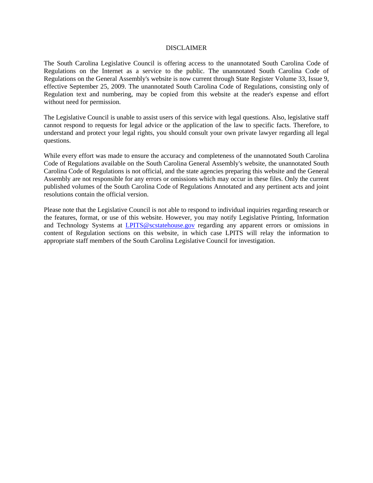#### DISCLAIMER

The South Carolina Legislative Council is offering access to the unannotated South Carolina Code of Regulations on the Internet as a service to the public. The unannotated South Carolina Code of Regulations on the General Assembly's website is now current through State Register Volume 33, Issue 9, effective September 25, 2009. The unannotated South Carolina Code of Regulations, consisting only of Regulation text and numbering, may be copied from this website at the reader's expense and effort without need for permission.

The Legislative Council is unable to assist users of this service with legal questions. Also, legislative staff cannot respond to requests for legal advice or the application of the law to specific facts. Therefore, to understand and protect your legal rights, you should consult your own private lawyer regarding all legal questions.

While every effort was made to ensure the accuracy and completeness of the unannotated South Carolina Code of Regulations available on the South Carolina General Assembly's website, the unannotated South Carolina Code of Regulations is not official, and the state agencies preparing this website and the General Assembly are not responsible for any errors or omissions which may occur in these files. Only the current published volumes of the South Carolina Code of Regulations Annotated and any pertinent acts and joint resolutions contain the official version.

Please note that the Legislative Council is not able to respond to individual inquiries regarding research or the features, format, or use of this website. However, you may notify Legislative Printing, Information and Technology Systems at **LPITS@scstatehouse.gov** regarding any apparent errors or omissions in content of Regulation sections on this website, in which case LPITS will relay the information to appropriate staff members of the South Carolina Legislative Council for investigation.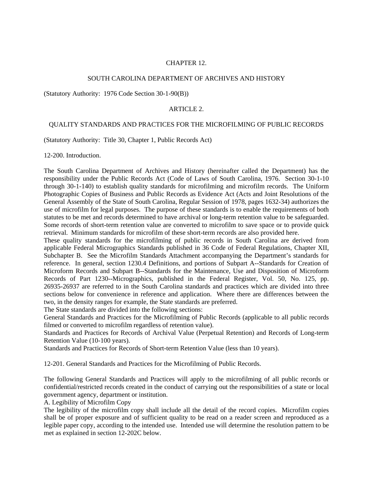# CHAPTER 12.

# SOUTH CAROLINA DEPARTMENT OF ARCHIVES AND HISTORY

(Statutory Authority: 1976 Code Section 30-1-90(B))

#### ARTICLE 2.

## QUALITY STANDARDS AND PRACTICES FOR THE MICROFILMING OF PUBLIC RECORDS

(Statutory Authority: Title 30, Chapter 1, Public Records Act)

12-200. Introduction.

The South Carolina Department of Archives and History (hereinafter called the Department) has the responsibility under the Public Records Act (Code of Laws of South Carolina, 1976. Section 30-1-10 through 30-1-140) to establish quality standards for microfilming and microfilm records. The Uniform Photographic Copies of Business and Public Records as Evidence Act (Acts and Joint Resolutions of the General Assembly of the State of South Carolina, Regular Session of 1978, pages 1632-34) authorizes the use of microfilm for legal purposes. The purpose of these standards is to enable the requirements of both statutes to be met and records determined to have archival or long-term retention value to be safeguarded. Some records of short-term retention value are converted to microfilm to save space or to provide quick retrieval. Minimum standards for microfilm of these short-term records are also provided here.

These quality standards for the microfilming of public records in South Carolina are derived from applicable Federal Micrographics Standards published in 36 Code of Federal Regulations, Chapter XII, Subchapter B. See the Microfilm Standards Attachment accompanying the Department's standards for reference. In general, section 1230.4 Definitions, and portions of Subpart A--Standards for Creation of Microform Records and Subpart B--Standards for the Maintenance, Use and Disposition of Microform Records of Part 1230--Micrographics, published in the Federal Register, Vol. 50, No. 125, pp. 26935-26937 are referred to in the South Carolina standards and practices which are divided into three sections below for convenience in reference and application. Where there are differences between the two, in the density ranges for example, the State standards are preferred.

The State standards are divided into the following sections:

General Standards and Practices for the Microfilming of Public Records (applicable to all public records filmed or converted to microfilm regardless of retention value).

Standards and Practices for Records of Archival Value (Perpetual Retention) and Records of Long-term Retention Value (10-100 years).

Standards and Practices for Records of Short-term Retention Value (less than 10 years).

12-201. General Standards and Practices for the Microfilming of Public Records.

The following General Standards and Practices will apply to the microfilming of all public records or confidential/restricted records created in the conduct of carrying out the responsibilities of a state or local government agency, department or institution.

A. Legibility of Microfilm Copy

The legibility of the microfilm copy shall include all the detail of the record copies. Microfilm copies shall be of proper exposure and of sufficient quality to be read on a reader screen and reproduced as a legible paper copy, according to the intended use. Intended use will determine the resolution pattern to be met as explained in section 12-202C below.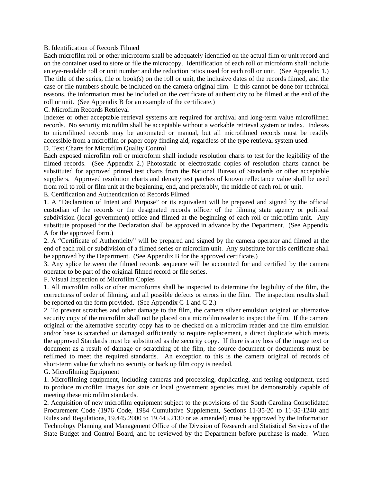#### B. Identification of Records Filmed

Each microfilm roll or other microform shall be adequately identified on the actual film or unit record and on the container used to store or file the microcopy. Identification of each roll or microform shall include an eye-readable roll or unit number and the reduction ratios used for each roll or unit. (See Appendix 1.) The title of the series, file or book(s) on the roll or unit, the inclusive dates of the records filmed, and the case or file numbers should be included on the camera original film. If this cannot be done for technical reasons, the information must be included on the certificate of authenticity to be filmed at the end of the roll or unit. (See Appendix B for an example of the certificate.)

C. Microfilm Records Retrieval

Indexes or other acceptable retrieval systems are required for archival and long-term value microfilmed records. No security microfilm shall be acceptable without a workable retrieval system or index. Indexes to microfilmed records may be automated or manual, but all microfilmed records must be readily accessible from a microfilm or paper copy finding aid, regardless of the type retrieval system used.

D. Text Charts for Microfilm Quality Control

Each exposed microfilm roll or microform shall include resolution charts to test for the legibility of the filmed records. (See Appendix 2.) Photostatic or electrostatic copies of resolution charts cannot be substituted for approved printed test charts from the National Bureau of Standards or other acceptable suppliers. Approved resolution charts and density test patches of known reflectance value shall be used from roll to roll or film unit at the beginning, end, and preferably, the middle of each roll or unit.

E. Certification and Authentication of Records Filmed

1. A "Declaration of Intent and Purpose" or its equivalent will be prepared and signed by the official custodian of the records or the designated records officer of the filming state agency or political subdivision (local government) office and filmed at the beginning of each roll or microfilm unit. Any substitute proposed for the Declaration shall be approved in advance by the Department. (See Appendix A for the approved form.)

2. A "Certificate of Authenticity" will be prepared and signed by the camera operator and filmed at the end of each roll or subdivision of a filmed series or microfilm unit. Any substitute for this certificate shall be approved by the Department. (See Appendix B for the approved certificate.)

3. Any splice between the filmed records sequence will be accounted for and certified by the camera operator to be part of the original filmed record or file series.

F. Visual Inspection of Microfilm Copies

1. All microfilm rolls or other microforms shall be inspected to determine the legibility of the film, the correctness of order of filming, and all possible defects or errors in the film. The inspection results shall be reported on the form provided. (See Appendix C-1 and C-2.)

2. To prevent scratches and other damage to the film, the camera silver emulsion original or alternative security copy of the microfilm shall not be placed on a microfilm reader to inspect the film. If the camera original or the alternative security copy has to be checked on a microfilm reader and the film emulsion and/or base is scratched or damaged sufficiently to require replacement, a direct duplicate which meets the approved Standards must be substituted as the security copy. If there is any loss of the image text or document as a result of damage or scratching of the film, the source document or documents must be refilmed to meet the required standards. An exception to this is the camera original of records of short-term value for which no security or back up film copy is needed.

G. Microfilming Equipment

1. Microfilming equipment, including cameras and processing, duplicating, and testing equipment, used to produce microfilm images for state or local government agencies must be demonstrably capable of meeting these microfilm standards.

2. Acquisition of new microfilm equipment subject to the provisions of the South Carolina Consolidated Procurement Code (1976 Code, 1984 Cumulative Supplement, Sections 11-35-20 to 11-35-1240 and Rules and Regulations, 19.445.2000 to 19.445.2130 or as amended) must be approved by the Information Technology Planning and Management Office of the Division of Research and Statistical Services of the State Budget and Control Board, and be reviewed by the Department before purchase is made. When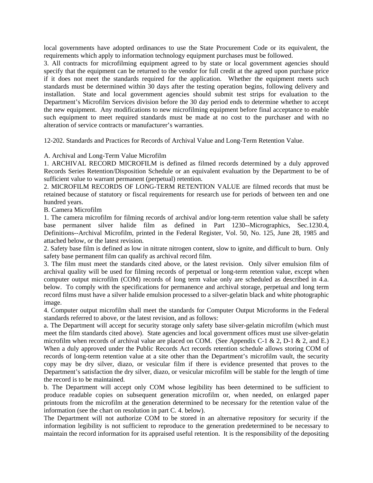local governments have adopted ordinances to use the State Procurement Code or its equivalent, the requirements which apply to information technology equipment purchases must be followed.

3. All contracts for microfilming equipment agreed to by state or local government agencies should specify that the equipment can be returned to the vendor for full credit at the agreed upon purchase price if it does not meet the standards required for the application. Whether the equipment meets such standards must be determined within 30 days after the testing operation begins, following delivery and installation. State and local government agencies should submit test strips for evaluation to the Department's Microfilm Services division before the 30 day period ends to determine whether to accept the new equipment. Any modifications to new microfilming equipment before final acceptance to enable such equipment to meet required standards must be made at no cost to the purchaser and with no alteration of service contracts or manufacturer's warranties.

12-202. Standards and Practices for Records of Archival Value and Long-Term Retention Value.

A. Archival and Long-Term Value Microfilm

1. ARCHIVAL RECORD MICROFILM is defined as filmed records determined by a duly approved Records Series Retention/Disposition Schedule or an equivalent evaluation by the Department to be of sufficient value to warrant permanent (perpetual) retention.

2. MICROFILM RECORDS OF LONG-TERM RETENTION VALUE are filmed records that must be retained because of statutory or fiscal requirements for research use for periods of between ten and one hundred years.

B. Camera Microfilm

1. The camera microfilm for filming records of archival and/or long-term retention value shall be safety base permanent silver halide film as defined in Part 1230--Micrographics, Sec.1230.4, Definitions--Archival Microfilm, printed in the Federal Register, Vol. 50, No. 125, June 28, 1985 and attached below, or the latest revision.

2. Safety base film is defined as low in nitrate nitrogen content, slow to ignite, and difficult to burn. Only safety base permanent film can qualify as archival record film.

3. The film must meet the standards cited above, or the latest revision. Only silver emulsion film of archival quality will be used for filming records of perpetual or long-term retention value, except when computer output microfilm (COM) records of long term value only are scheduled as described in 4.a. below. To comply with the specifications for permanence and archival storage, perpetual and long term record films must have a silver halide emulsion processed to a silver-gelatin black and white photographic image.

4. Computer output microfilm shall meet the standards for Computer Output Microforms in the Federal standards referred to above, or the latest revision, and as follows:

a. The Department will accept for security storage only safety base silver-gelatin microfilm (which must meet the film standards cited above). State agencies and local government offices must use silver-gelatin microfilm when records of archival value are placed on COM. (See Appendix C-1 & 2, D-1 & 2, and E.) When a duly approved under the Public Records Act records retention schedule allows storing COM of records of long-term retention value at a site other than the Department's microfilm vault, the security copy may be dry silver, diazo, or vesicular film if there is evidence presented that proves to the Department's satisfaction the dry silver, diazo, or vesicular microfilm will be stable for the length of time the record is to be maintained.

b. The Department will accept only COM whose legibility has been determined to be sufficient to produce readable copies on subsequent generation microfilm or, when needed, on enlarged paper printouts from the microfilm at the generation determined to be necessary for the retention value of the information (see the chart on resolution in part C. 4. below).

The Department will not authorize COM to be stored in an alternative repository for security if the information legibility is not sufficient to reproduce to the generation predetermined to be necessary to maintain the record information for its appraised useful retention. It is the responsibility of the depositing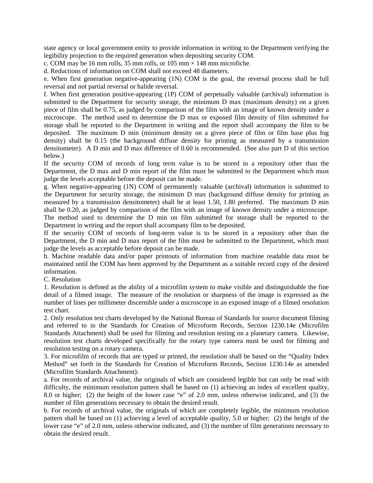state agency or local government entity to provide information in writing to the Department verifying the legibility projection to the required generation when depositing security COM.

c. COM may be 16 mm rolls, 35 mm rolls, or 105 mm  $\times$  148 mm microfiche.

d. Reductions of information on COM shall not exceed 48 diameters.

e. When first generation negative-appearing (1N) COM is the goal, the reversal process shall be full reversal and not partial reversal or halide reversal.

f. When first generation positive-appearing (1P) COM of perpetually valuable (archival) information is submitted to the Department for security storage, the minimum D max (maximum density) on a given piece of film shall be 0.75, as judged by comparison of the film with an image of known density under a microscope. The method used to determine the D max or exposed film density of film submitted for storage shall be reported to the Department in writing and the report shall accompany the film to be deposited. The maximum D min (minimum density on a given piece of film or film base plus fog density) shall be 0.15 (the background diffuse density for printing as measured by a transmission densitometer). A D min and D max difference of 0.60 is recommended. (See also part D of this section below.)

If the security COM of records of long term value is to be stored in a repository other than the Department, the D max and D min report of the film must be submitted to the Department which must judge the levels acceptable before the deposit can be made.

g. When negative-appearing (1N) COM of permanently valuable (archival) information is submitted to the Department for security storage, the minimum D max (background diffuse density for printing as measured by a transmission densitometer) shall be at least 1.50, 1.80 preferred. The maximum D min shall be 0.20, as judged by comparison of the film with an image of known density under a microscope. The method used to determine the D min on film submitted for storage shall be reported to the Department in writing and the report shall accompany film to be deposited.

If the security COM of records of long-term value is to be stored in a repository other than the Department, the D min and D max report of the film must be submitted to the Department, which must judge the levels as acceptable before deposit can be made.

h. Machine readable data and/or paper printouts of information from machine readable data must be maintained until the COM has been approved by the Department as a suitable record copy of the desired information.

C. Resolution

1. Resolution is defined as the ability of a microfilm system to make visible and distinguishable the fine detail of a filmed image. The measure of the resolution or sharpness of the image is expressed as the number of lines per millimeter discernible under a microscope in an exposed image of a filmed resolution test chart.

2. Only resolution test charts developed by the National Bureau of Standards for source document filming and referred to in the Standards for Creation of Microform Records, Section 1230.14e (Microfilm Standards Attachment) shall be used for filming and resolution testing on a planetary camera. Likewise, resolution test charts developed specifically for the rotary type camera must be used for filming and resolution testing on a rotary camera.

3. For microfilm of records that are typed or printed, the resolution shall be based on the "Quality Index Method" set forth in the Standards for Creation of Microform Records, Section 1230.14e as amended (Microfilm Standards Attachment):

a. For records of archival value, the originals of which are considered legible but can only be read with difficulty, the minimum resolution pattern shall be based on (1) achieving an index of excellent quality, 8.0 or higher; (2) the height of the lower case "e" of 2.0 mm, unless otherwise indicated, and (3) the number of film generations necessary to obtain the desired result.

b. For records of archival value, the originals of which are completely legible, the minimum resolution pattern shall be based on (1) achieving a level of acceptable quality, 5.0 or higher; (2) the height of the lower case "e" of 2.0 mm, unless otherwise indicated, and (3) the number of film generations necessary to obtain the desired result.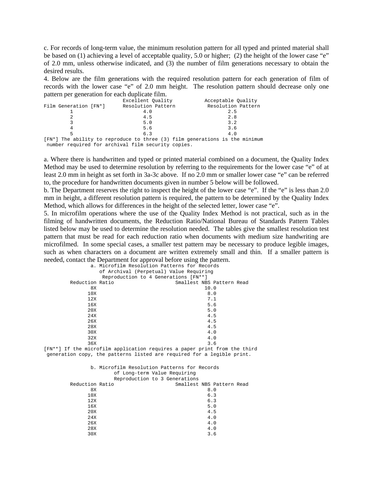c. For records of long-term value, the minimum resolution pattern for all typed and printed material shall be based on (1) achieving a level of acceptable quality, 5.0 or higher; (2) the height of the lower case "e" of 2.0 mm, unless otherwise indicated, and (3) the number of film generations necessary to obtain the desired results.

4. Below are the film generations with the required resolution pattern for each generation of film of records with the lower case "e" of 2.0 mm height. The resolution pattern should decrease only one pattern per generation for each duplicate film.

|                       | Excellent Ouality                                  | Acceptable Ouality                                                          |
|-----------------------|----------------------------------------------------|-----------------------------------------------------------------------------|
| Film Generation [FN*] | Resolution Pattern                                 | Resolution Pattern                                                          |
|                       | 4.0                                                | 2.5                                                                         |
|                       | 4.5                                                | 2.8                                                                         |
|                       | 5.0                                                | 3.2                                                                         |
|                       | 5.6                                                | 3.6                                                                         |
|                       | 6.3                                                | 4.0                                                                         |
|                       |                                                    | [FN*] The ability to reproduce to three (3) film generations is the minimum |
|                       | number required for archival film security copies. |                                                                             |

a. Where there is handwritten and typed or printed material combined on a document, the Quality Index Method may be used to determine resolution by referring to the requirements for the lower case "e" of at least 2.0 mm in height as set forth in 3a-3c above. If no 2.0 mm or smaller lower case "e" can be referred to, the procedure for handwritten documents given in number 5 below will be followed.

b. The Department reserves the right to inspect the height of the lower case "e". If the "e" is less than 2.0 mm in height, a different resolution pattern is required, the pattern to be determined by the Quality Index Method, which allows for differences in the height of the selected letter, lower case "e".

5. In microfilm operations where the use of the Quality Index Method is not practical, such as in the filming of handwritten documents, the Reduction Ratio/National Bureau of Standards Pattern Tables listed below may be used to determine the resolution needed. The tables give the smallest resolution test pattern that must be read for each reduction ratio when documents with medium size handwriting are microfilmed. In some special cases, a smaller test pattern may be necessary to produce legible images, such as when characters on a document are written extremely small and thin. If a smaller pattern is needed, contact the Department for approval before using the pattern.

|                                                                         | a. Microfilm Resolution Patterns for Records |      |                           |  |
|-------------------------------------------------------------------------|----------------------------------------------|------|---------------------------|--|
|                                                                         | of Archival (Perpetual) Value Requiring      |      |                           |  |
|                                                                         | Reproduction to 4 Generations [FN**]         |      |                           |  |
| Reduction Ratio                                                         |                                              |      | Smallest NBS Pattern Read |  |
| 8X                                                                      |                                              | 10.0 |                           |  |
| 10X                                                                     |                                              | 8.0  |                           |  |
| 12X                                                                     |                                              | 7.1  |                           |  |
| 16X                                                                     |                                              | 5.6  |                           |  |
| 20X                                                                     |                                              | 5.0  |                           |  |
| 24X                                                                     |                                              | 4.5  |                           |  |
| 26X                                                                     |                                              | 4.5  |                           |  |
| 28X                                                                     |                                              | 4.5  |                           |  |
| 30X                                                                     |                                              | 4.0  |                           |  |
| 32X                                                                     |                                              | 4.0  |                           |  |
| 36X                                                                     |                                              | 3.6  |                           |  |
| [FN**] If the microfilm application requires a paper print from the thi |                                              |      |                           |  |

[FN\*\*] If the microfilm application requires a paper print from the third generation copy, the patterns listed are required for a legible print.

|                 | b. Microfilm Resolution Patterns for Records | of Long-term Value Requiring  |                           |
|-----------------|----------------------------------------------|-------------------------------|---------------------------|
|                 |                                              | Reproduction to 3 Generations |                           |
| Reduction Ratio |                                              |                               | Smallest NBS Pattern Read |
| 8X              |                                              |                               | 8.0                       |
| 10X             |                                              |                               | 6.3                       |
| 12X             |                                              |                               | 6.3                       |
| 16X             |                                              |                               | 5.0                       |
| 20X             |                                              |                               | 4.5                       |
| 24X             |                                              |                               | 4.0                       |
| 26X             |                                              |                               | 4.0                       |
| 28X             |                                              |                               | 4.0                       |
| 30X             |                                              |                               | 3.6                       |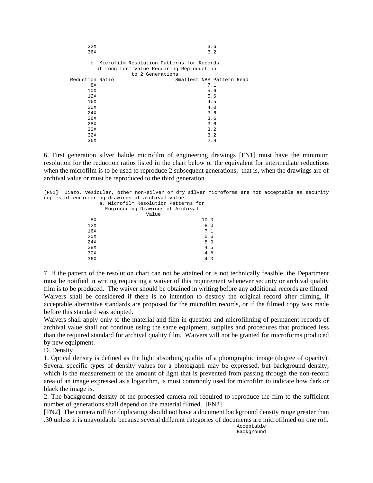| 32X             | 3.6                                                                                                           |
|-----------------|---------------------------------------------------------------------------------------------------------------|
| 36X             | 3.2                                                                                                           |
|                 | c. Microfilm Resolution Patterns for Records<br>of Long-term Value Requiring Reproduction<br>to 2 Generations |
| Reduction Ratio | Smallest NBS Pattern Read                                                                                     |
| 8X              | 7.1                                                                                                           |
| 10X             | 5.6                                                                                                           |
| 12X             | 5.6                                                                                                           |
| 16X             | 4.5                                                                                                           |
| 20X             | 4.0                                                                                                           |
| 24X             | 3.6                                                                                                           |
| 26X             | 3.6                                                                                                           |
| 28X             | 3.6                                                                                                           |
| 30X             | 3.2                                                                                                           |
| 32X             | 3.2                                                                                                           |
| 36X             | 2.8                                                                                                           |

6. First generation silver halide microfilm of engineering drawings [FN1] must have the minimum resolution for the reduction ratios listed in the chart below or the equivalent for intermediate reductions when the microfilm is to be used to reproduce 2 subsequent generations; that is, when the drawings are of archival value or must be reproduced to the third generation.

[FN1] Diazo, vesicular, other non-silver or dry silver microforms are not acceptable as security copies of engineering drawings of archival value. a. Microfilm Resolution Patterns for Engineering Drawings of Archival

| Engineering Drawings of Archival |      |
|----------------------------------|------|
| Value                            |      |
| 8X                               | 10.0 |
| 12X                              | 8.0  |
| 16X                              | 7.1  |
| 20X                              | 5.6  |
| 24X                              | 5.0  |
| 28X                              | 4.5  |
| 30X                              | 4.5  |
| 36X                              | 4.0  |

7. If the pattern of the resolution chart can not be attained or is not technically feasible, the Department must be notified in writing requesting a waiver of this requirement whenever security or archival quality film is to be produced. The waiver should be obtained in writing before any additional records are filmed. Waivers shall be considered if there is no intention to destroy the original record after filming, if acceptable alternative standards are proposed for the microfilm records, or if the filmed copy was made before this standard was adopted.

Waivers shall apply only to the material and film in question and microfilming of permanent records of archival value shall not continue using the same equipment, supplies and procedures that produced less than the required standard for archival quality film. Waivers will not be granted for microforms produced by new equipment.

D. Density

1. Optical density is defined as the light absorbing quality of a photographic image (degree of opacity). Several specific types of density values for a photograph may be expressed, but background density, which is the measurement of the amount of light that is prevented from passing through the non-record area of an image expressed as a logarithm, is most commonly used for microfilm to indicate how dark or black the image is.

2. The background density of the processed camera roll required to reproduce the film to the sufficient number of generations shall depend on the material filmed. [FN2]

[FN2] The camera roll for duplicating should not have a document background density range greater than .30 unless it is unavoidable because several different categories of documents are microfilmed on one roll.

> Acceptable Background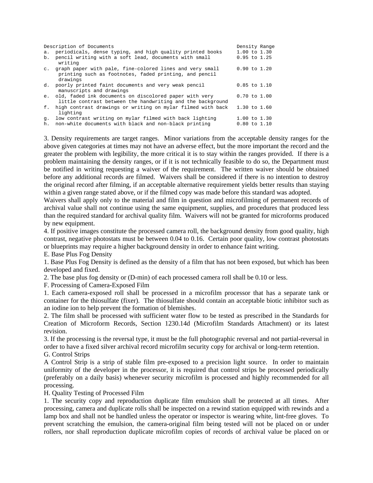| a.       | Description of Documents<br>periodicals, dense typing, and high quality printed books                                             | Density Range<br>$1.00$ to $1.30$    |  |
|----------|-----------------------------------------------------------------------------------------------------------------------------------|--------------------------------------|--|
| b.       | pencil writing with a soft lead, documents with small<br>writing                                                                  | $0.95$ to $1.25$                     |  |
|          | c. graph paper with pale, fine-colored lines and very small<br>printing such as footnotes, faded printing, and pencil<br>drawings | $0.90$ to $1.20$                     |  |
|          | d. poorly printed faint documents and very weak pencil<br>manuscripts and drawings                                                | $0.85$ to $1.10$                     |  |
|          | e. old, faded ink documents on discolored paper with very<br>little contrast between the handwriting and the background           | $0.70$ to $1.00$                     |  |
|          | f. high contrast drawings or writing on mylar filmed with back<br>lighting                                                        | $1.30$ to $1.60$                     |  |
| q.<br>h. | low contrast writing on mylar filmed with back lighting<br>non-white documents with black and non-black printing                  | $1.00$ to $1.30$<br>$0.80$ to $1.10$ |  |

3. Density requirements are target ranges. Minor variations from the acceptable density ranges for the above given categories at times may not have an adverse effect, but the more important the record and the greater the problem with legibility, the more critical it is to stay within the ranges provided. If there is a problem maintaining the density ranges, or if it is not technically feasible to do so, the Department must be notified in writing requesting a waiver of the requirement. The written waiver should be obtained before any additional records are filmed. Waivers shall be considered if there is no intention to destroy the original record after filming, if an acceptable alternative requirement yields better results than staying within a given range stated above, or if the filmed copy was made before this standard was adopted.

Waivers shall apply only to the material and film in question and microfilming of permanent records of archival value shall not continue using the same equipment, supplies, and procedures that produced less than the required standard for archival quality film. Waivers will not be granted for microforms produced by new equipment.

4. If positive images constitute the processed camera roll, the background density from good quality, high contrast, negative photostats must be between 0.04 to 0.16. Certain poor quality, low contrast photostats or blueprints may require a higher background density in order to enhance faint writing.

E. Base Plus Fog Density

1. Base Plus Fog Density is defined as the density of a film that has not been exposed, but which has been developed and fixed.

2. The base plus fog density or (D-min) of each processed camera roll shall be 0.10 or less.

F. Processing of Camera-Exposed Film

1. Each camera-exposed roll shall be processed in a microfilm processor that has a separate tank or container for the thiosulfate (fixer). The thiosulfate should contain an acceptable biotic inhibitor such as an iodine ion to help prevent the formation of blemishes.

2. The film shall be processed with sufficient water flow to be tested as prescribed in the Standards for Creation of Microform Records, Section 1230.14d (Microfilm Standards Attachment) or its latest revision.

3. If the processing is the reversal type, it must be the full photographic reversal and not partial-reversal in order to have a fixed silver archival record microfilm security copy for archival or long-term retention.

G. Control Strips

A Control Strip is a strip of stable film pre-exposed to a precision light source. In order to maintain uniformity of the developer in the processor, it is required that control strips be processed periodically (preferably on a daily basis) whenever security microfilm is processed and highly recommended for all processing.

H. Quality Testing of Processed Film

1. The security copy and reproduction duplicate film emulsion shall be protected at all times. After processing, camera and duplicate rolls shall be inspected on a rewind station equipped with rewinds and a lamp box and shall not be handled unless the operator or inspector is wearing white, lint-free gloves. To prevent scratching the emulsion, the camera-original film being tested will not be placed on or under rollers, nor shall reproduction duplicate microfilm copies of records of archival value be placed on or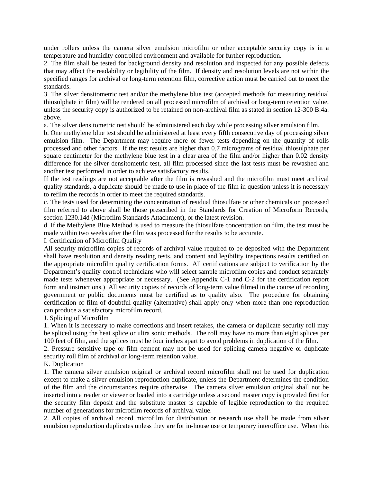under rollers unless the camera silver emulsion microfilm or other acceptable security copy is in a temperature and humidity controlled environment and available for further reproduction.

2. The film shall be tested for background density and resolution and inspected for any possible defects that may affect the readability or legibility of the film. If density and resolution levels are not within the specified ranges for archival or long-term retention film, corrective action must be carried out to meet the standards.

3. The silver densitometric test and/or the methylene blue test (accepted methods for measuring residual thiosulphate in film) will be rendered on all processed microfilm of archival or long-term retention value, unless the security copy is authorized to be retained on non-archival film as stated in section 12-300 B.4a. above.

a. The silver densitometric test should be administered each day while processing silver emulsion film.

b. One methylene blue test should be administered at least every fifth consecutive day of processing silver emulsion film. The Department may require more or fewer tests depending on the quantity of rolls processed and other factors. If the test results are higher than 0.7 micrograms of residual thiosulphate per square centimeter for the methylene blue test in a clear area of the film and/or higher than 0.02 density difference for the silver densitometric test, all film processed since the last tests must be rewashed and another test performed in order to achieve satisfactory results.

If the test readings are not acceptable after the film is rewashed and the microfilm must meet archival quality standards, a duplicate should be made to use in place of the film in question unless it is necessary to refilm the records in order to meet the required standards.

c. The tests used for determining the concentration of residual thiosulfate or other chemicals on processed film referred to above shall be those prescribed in the Standards for Creation of Microform Records, section 1230.14d (Microfilm Standards Attachment), or the latest revision.

d. If the Methylene Blue Method is used to measure the thiosulfate concentration on film, the test must be made within two weeks after the film was processed for the results to be accurate.

I. Certification of Microfilm Quality

All security microfilm copies of records of archival value required to be deposited with the Department shall have resolution and density reading tests, and content and legibility inspections results certified on the appropriate microfilm quality certification forms. All certifications are subject to verification by the Department's quality control technicians who will select sample microfilm copies and conduct separately made tests whenever appropriate or necessary. (See Appendix C-1 and C-2 for the certification report form and instructions.) All security copies of records of long-term value filmed in the course of recording government or public documents must be certified as to quality also. The procedure for obtaining certification of film of doubtful quality (alternative) shall apply only when more than one reproduction can produce a satisfactory microfilm record.

J. Splicing of Microfilm

1. When it is necessary to make corrections and insert retakes, the camera or duplicate security roll may be spliced using the heat splice or ultra sonic methods. The roll may have no more than eight splices per 100 feet of film, and the splices must be four inches apart to avoid problems in duplication of the film.

2. Pressure sensitive tape or film cement may not be used for splicing camera negative or duplicate security roll film of archival or long-term retention value.

# K. Duplication

1. The camera silver emulsion original or archival record microfilm shall not be used for duplication except to make a silver emulsion reproduction duplicate, unless the Department determines the condition of the film and the circumstances require otherwise. The camera silver emulsion original shall not be inserted into a reader or viewer or loaded into a cartridge unless a second master copy is provided first for the security film deposit and the substitute master is capable of legible reproduction to the required number of generations for microfilm records of archival value.

2. All copies of archival record microfilm for distribution or research use shall be made from silver emulsion reproduction duplicates unless they are for in-house use or temporary interoffice use. When this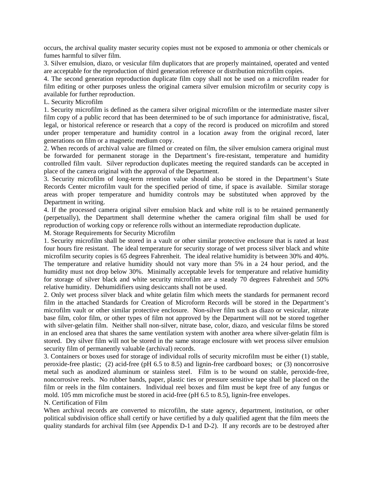occurs, the archival quality master security copies must not be exposed to ammonia or other chemicals or fumes harmful to silver film.

3. Silver emulsion, diazo, or vesicular film duplicators that are properly maintained, operated and vented are acceptable for the reproduction of third generation reference or distribution microfilm copies.

4. The second generation reproduction duplicate film copy shall not be used on a microfilm reader for film editing or other purposes unless the original camera silver emulsion microfilm or security copy is available for further reproduction.

L. Security Microfilm

1. Security microfilm is defined as the camera silver original microfilm or the intermediate master silver film copy of a public record that has been determined to be of such importance for administrative, fiscal, legal, or historical reference or research that a copy of the record is produced on microfilm and stored under proper temperature and humidity control in a location away from the original record, later generations on film or a magnetic medium copy.

2. When records of archival value are filmed or created on film, the silver emulsion camera original must be forwarded for permanent storage in the Department's fire-resistant, temperature and humidity controlled film vault. Silver reproduction duplicates meeting the required standards can be accepted in place of the camera original with the approval of the Department.

3. Security microfilm of long-term retention value should also be stored in the Department's State Records Center microfilm vault for the specified period of time, if space is available. Similar storage areas with proper temperature and humidity controls may be substituted when approved by the Department in writing.

4. If the processed camera original silver emulsion black and white roll is to be retained permanently (perpetually), the Department shall determine whether the camera original film shall be used for reproduction of working copy or reference rolls without an intermediate reproduction duplicate.

M. Storage Requirements for Security Microfilm

1. Security microfilm shall be stored in a vault or other similar protective enclosure that is rated at least four hours fire resistant. The ideal temperature for security storage of wet process silver black and white microfilm security copies is 65 degrees Fahrenheit. The ideal relative humidity is between 30% and 40%. The temperature and relative humidity should not vary more than 5% in a 24 hour period, and the humidity must not drop below 30%. Minimally acceptable levels for temperature and relative humidity for storage of silver black and white security microfilm are a steady 70 degrees Fahrenheit and 50% relative humidity. Dehumidifiers using desiccants shall not be used.

2. Only wet process silver black and white gelatin film which meets the standards for permanent record film in the attached Standards for Creation of Microform Records will be stored in the Department's microfilm vault or other similar protective enclosure. Non-silver film such as diazo or vesicular, nitrate base film, color film, or other types of film not approved by the Department will not be stored together with silver-gelatin film. Neither shall non-silver, nitrate base, color, diazo, and vesicular films be stored in an enclosed area that shares the same ventilation system with another area where silver-gelatin film is stored. Dry silver film will not be stored in the same storage enclosure with wet process silver emulsion security film of permanently valuable (archival) records.

3. Containers or boxes used for storage of individual rolls of security microfilm must be either (1) stable, peroxide-free plastic; (2) acid-free (pH 6.5 to 8.5) and lignin-free cardboard boxes; or (3) noncorrosive metal such as anodized aluminum or stainless steel. Film is to be wound on stable, peroxide-free, noncorrosive reels. No rubber bands, paper, plastic ties or pressure sensitive tape shall be placed on the film or reels in the film containers. Individual reel boxes and film must be kept free of any fungus or mold. 105 mm microfiche must be stored in acid-free (pH 6.5 to 8.5), lignin-free envelopes.

N. Certification of Film

When archival records are converted to microfilm, the state agency, department, institution, or other political subdivision office shall certify or have certified by a duly qualified agent that the film meets the quality standards for archival film (see Appendix D-1 and D-2). If any records are to be destroyed after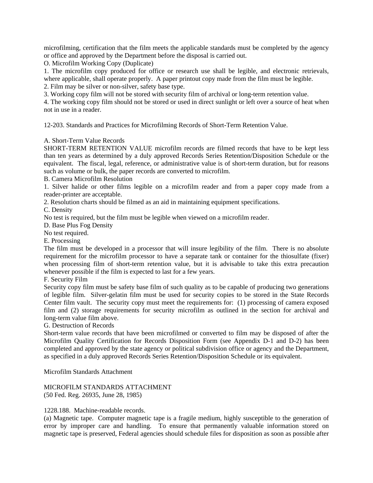microfilming, certification that the film meets the applicable standards must be completed by the agency or office and approved by the Department before the disposal is carried out.

O. Microfilm Working Copy (Duplicate)

1. The microfilm copy produced for office or research use shall be legible, and electronic retrievals, where applicable, shall operate properly. A paper printout copy made from the film must be legible.

2. Film may be silver or non-silver, safety base type.

3. Working copy film will not be stored with security film of archival or long-term retention value.

4. The working copy film should not be stored or used in direct sunlight or left over a source of heat when not in use in a reader.

12-203. Standards and Practices for Microfilming Records of Short-Term Retention Value.

# A. Short-Term Value Records

SHORT-TERM RETENTION VALUE microfilm records are filmed records that have to be kept less than ten years as determined by a duly approved Records Series Retention/Disposition Schedule or the equivalent. The fiscal, legal, reference, or administrative value is of short-term duration, but for reasons such as volume or bulk, the paper records are converted to microfilm.

B. Camera Microfilm Resolution

1. Silver halide or other films legible on a microfilm reader and from a paper copy made from a reader-printer are acceptable.

2. Resolution charts should be filmed as an aid in maintaining equipment specifications.

C. Density

No test is required, but the film must be legible when viewed on a microfilm reader.

D. Base Plus Fog Density

No test required.

E. Processing

The film must be developed in a processor that will insure legibility of the film. There is no absolute requirement for the microfilm processor to have a separate tank or container for the thiosulfate (fixer) when processing film of short-term retention value, but it is advisable to take this extra precaution whenever possible if the film is expected to last for a few years.

F. Security Film

Security copy film must be safety base film of such quality as to be capable of producing two generations of legible film. Silver-gelatin film must be used for security copies to be stored in the State Records Center film vault. The security copy must meet the requirements for: (1) processing of camera exposed film and (2) storage requirements for security microfilm as outlined in the section for archival and long-term value film above.

G. Destruction of Records

Short-term value records that have been microfilmed or converted to film may be disposed of after the Microfilm Quality Certification for Records Disposition Form (see Appendix D-1 and D-2) has been completed and approved by the state agency or political subdivision office or agency and the Department, as specified in a duly approved Records Series Retention/Disposition Schedule or its equivalent.

Microfilm Standards Attachment

MICROFILM STANDARDS ATTACHMENT (50 Fed. Reg. 26935, June 28, 1985)

# 1228.188. Machine-readable records.

(a) Magnetic tape. Computer magnetic tape is a fragile medium, highly susceptible to the generation of error by improper care and handling. To ensure that permanently valuable information stored on magnetic tape is preserved, Federal agencies should schedule files for disposition as soon as possible after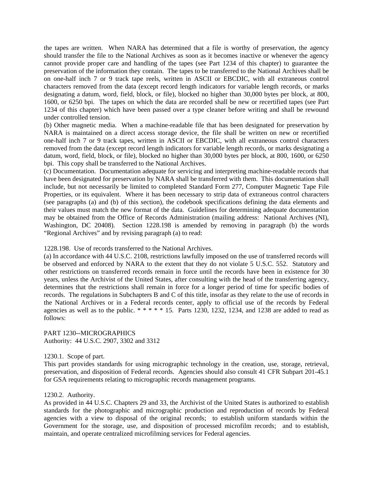the tapes are written. When NARA has determined that a file is worthy of preservation, the agency should transfer the file to the National Archives as soon as it becomes inactive or whenever the agency cannot provide proper care and handling of the tapes (see Part 1234 of this chapter) to guarantee the preservation of the information they contain. The tapes to be transferred to the National Archives shall be on one-half inch 7 or 9 track tape reels, written in ASCII or EBCDIC, with all extraneous control characters removed from the data (except record length indicators for variable length records, or marks designating a datum, word, field, block, or file), blocked no higher than 30,000 bytes per block, at 800, 1600, or 6250 bpi. The tapes on which the data are recorded shall be new or recertified tapes (see Part 1234 of this chapter) which have been passed over a type cleaner before writing and shall be rewound under controlled tension.

(b) Other magnetic media. When a machine-readable file that has been designated for preservation by NARA is maintained on a direct access storage device, the file shall be written on new or recertified one-half inch 7 or 9 track tapes, written in ASCII or EBCDIC, with all extraneous control characters removed from the data (except record length indicators for variable length records, or marks designating a datum, word, field, block, or file), blocked no higher than 30,000 bytes per block, at 800, 1600, or 6250 bpi. This copy shall be transferred to the National Archives.

(c) Documentation. Documentation adequate for servicing and interpreting machine-readable records that have been designated for preservation by NARA shall be transferred with them. This documentation shall include, but not necessarily be limited to completed Standard Form 277, Computer Magnetic Tape File Properties, or its equivalent. Where it has been necessary to strip data of extraneous control characters (see paragraphs (a) and (b) of this section), the codebook specifications defining the data elements and their values must match the new format of the data. Guidelines for determining adequate documentation may be obtained from the Office of Records Administration (mailing address: National Archives (NI), Washington, DC 20408). Section 1228.198 is amended by removing in paragraph (b) the words "Regional Archives" and by revising paragraph (a) to read:

#### 1228.198. Use of records transferred to the National Archives.

(a) In accordance with 44 U.S.C. 2108, restrictions lawfully imposed on the use of transferred records will be observed and enforced by NARA to the extent that they do not violate 5 U.S.C. 552. Statutory and other restrictions on transferred records remain in force until the records have been in existence for 30 years, unless the Archivist of the United States, after consulting with the head of the transferring agency, determines that the restrictions shall remain in force for a longer period of time for specific bodies of records. The regulations in Subchapters B and C of this title, insofar as they relate to the use of records in the National Archives or in a Federal records center, apply to official use of the records by Federal agencies as well as to the public.  $*****15$ . Parts 1230, 1232, 1234, and 1238 are added to read as follows:

#### PART 1230--MICROGRAPHICS

Authority: 44 U.S.C. 2907, 3302 and 3312

#### 1230.1. Scope of part.

This part provides standards for using micrographic technology in the creation, use, storage, retrieval, preservation, and disposition of Federal records. Agencies should also consult 41 CFR Subpart 201-45.1 for GSA requirements relating to micrographic records management programs.

#### 1230.2. Authority.

As provided in 44 U.S.C. Chapters 29 and 33, the Archivist of the United States is authorized to establish standards for the photographic and micrographic production and reproduction of records by Federal agencies with a view to disposal of the original records; to establish uniform standards within the Government for the storage, use, and disposition of processed microfilm records; and to establish, maintain, and operate centralized microfilming services for Federal agencies.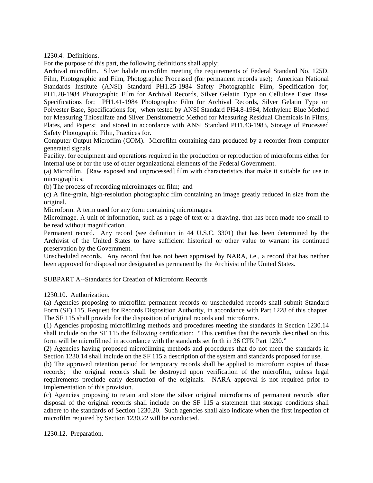1230.4. Definitions.

For the purpose of this part, the following definitions shall apply;

Archival microfilm. Silver halide microfilm meeting the requirements of Federal Standard No. 125D, Film, Photographic and Film, Photographic Processed (for permanent records use); American National Standards Institute (ANSI) Standard PH1.25-1984 Safety Photographic Film, Specification for; PH1.28-1984 Photographic Film for Archival Records, Silver Gelatin Type on Cellulose Ester Base, Specifications for; PH1.41-1984 Photographic Film for Archival Records, Silver Gelatin Type on Polyester Base, Specifications for; when tested by ANSI Standard PH4.8-1984, Methylene Blue Method for Measuring Thiosulfate and Silver Densitometric Method for Measuring Residual Chemicals in Films, Plates, and Papers; and stored in accordance with ANSI Standard PH1.43-1983, Storage of Processed Safety Photographic Film, Practices for.

Computer Output Microfilm (COM). Microfilm containing data produced by a recorder from computer generated signals.

Facility. for equipment and operations required in the production or reproduction of microforms either for internal use or for the use of other organizational elements of the Federal Government.

(a) Microfilm. [Raw exposed and unprocessed] film with characteristics that make it suitable for use in micrographics;

(b) The process of recording microimages on film; and

(c) A fine-grain, high-resolution photographic film containing an image greatly reduced in size from the original.

Microform. A term used for any form containing microimages.

Microimage. A unit of information, such as a page of text or a drawing, that has been made too small to be read without magnification.

Permanent record. Any record (see definition in 44 U.S.C. 3301) that has been determined by the Archivist of the United States to have sufficient historical or other value to warrant its continued preservation by the Government.

Unscheduled records. Any record that has not been appraised by NARA, i.e., a record that has neither been approved for disposal nor designated as permanent by the Archivist of the United States.

SUBPART A--Standards for Creation of Microform Records

1230.10. Authorization.

(a) Agencies proposing to microfilm permanent records or unscheduled records shall submit Standard Form (SF) 115, Request for Records Disposition Authority, in accordance with Part 1228 of this chapter. The SF 115 shall provide for the disposition of original records and microforms.

(1) Agencies proposing microfilming methods and procedures meeting the standards in Section 1230.14 shall include on the SF 115 the following certification: "This certifies that the records described on this form will be microfilmed in accordance with the standards set forth in 36 CFR Part 1230."

(2) Agencies having proposed microfilming methods and procedures that do not meet the standards in Section 1230.14 shall include on the SF 115 a description of the system and standards proposed for use.

(b) The approved retention period for temporary records shall be applied to microform copies of those records; the original records shall be destroyed upon verification of the microfilm, unless legal requirements preclude early destruction of the originals. NARA approval is not required prior to implementation of this provision.

(c) Agencies proposing to retain and store the silver original microforms of permanent records after disposal of the original records shall include on the SF 115 a statement that storage conditions shall adhere to the standards of Section 1230.20. Such agencies shall also indicate when the first inspection of microfilm required by Section 1230.22 will be conducted.

1230.12. Preparation.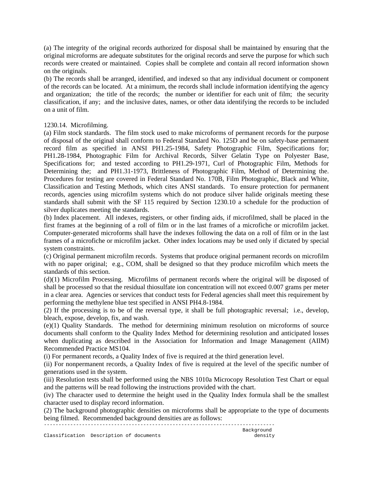(a) The integrity of the original records authorized for disposal shall be maintained by ensuring that the original microforms are adequate substitutes for the original records and serve the purpose for which such records were created or maintained. Copies shall be complete and contain all record information shown on the originals.

(b) The records shall be arranged, identified, and indexed so that any individual document or component of the records can be located. At a minimum, the records shall include information identifying the agency and organization; the title of the records; the number or identifier for each unit of film; the security classification, if any; and the inclusive dates, names, or other data identifying the records to be included on a unit of film.

## 1230.14. Microfilming.

(a) Film stock standards. The film stock used to make microforms of permanent records for the purpose of disposal of the original shall conform to Federal Standard No. 125D and be on safety-base permanent record film as specified in ANSI PH1.25-1984, Safety Photographic Film, Specifications for; PH1.28-1984, Photographic Film for Archival Records, Silver Gelatin Type on Polyester Base, Specifications for; and tested according to PH1.29-1971, Curl of Photographic Film, Methods for Determining the; and PH1.31-1973, Brittleness of Photographic Film, Method of Determining the. Procedures for testing are covered in Federal Standard No. 170B, Film Photographic, Black and White, Classification and Testing Methods, which cites ANSI standards. To ensure protection for permanent records, agencies using microfilm systems which do not produce silver halide originals meeting these standards shall submit with the SF 115 required by Section 1230.10 a schedule for the production of silver duplicates meeting the standards.

(b) Index placement. All indexes, registers, or other finding aids, if microfilmed, shall be placed in the first frames at the beginning of a roll of film or in the last frames of a microfiche or microfilm jacket. Computer-generated microforms shall have the indexes following the data on a roll of film or in the last frames of a microfiche or microfilm jacket. Other index locations may be used only if dictated by special system constraints.

(c) Original permanent microfilm records. Systems that produce original permanent records on microfilm with no paper original; e.g., COM, shall be designed so that they produce microfilm which meets the standards of this section.

(d)(1) Microfilm Processing. Microfilms of permanent records where the original will be disposed of shall be processed so that the residual thiosulfate ion concentration will not exceed 0.007 grams per meter in a clear area. Agencies or services that conduct tests for Federal agencies shall meet this requirement by performing the methylene blue test specified in ANSI PH4.8-1984.

(2) If the processing is to be of the reversal type, it shall be full photographic reversal; i.e., develop, bleach, expose, develop, fix, and wash.

(e)(1) Quality Standards. The method for determining minimum resolution on microforms of source documents shall conform to the Quality Index Method for determining resolution and anticipated losses when duplicating as described in the Association for Information and Image Management (AIIM) Recommended Practice MS104.

(i) For permanent records, a Quality Index of five is required at the third generation level.

(ii) For nonpermanent records, a Quality Index of five is required at the level of the specific number of generations used in the system.

(iii) Resolution tests shall be performed using the NBS 1010a Microcopy Resolution Test Chart or equal and the patterns will be read following the instructions provided with the chart.

(iv) The character used to determine the height used in the Quality Index formula shall be the smallest character used to display record information.

(2) The background photographic densities on microforms shall be appropriate to the type of documents being filmed. Recommended background densities are as follows:

------------------------------------------------------------------------------- Background Classification Description of documents density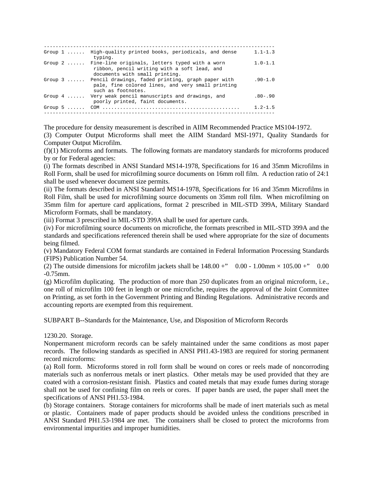| Group $1 \ldots \ldots$ | High-quality printed books, periodicals, and dense<br>typing.                                                                             | $1.1 - 1.3$ |
|-------------------------|-------------------------------------------------------------------------------------------------------------------------------------------|-------------|
|                         | Group 2  Fine-line originals, letters typed with a worn<br>ribbon, pencil writing with a soft lead, and<br>documents with small printing. | $1.0 - 1.1$ |
| Group $3 \ldots$        | Pencil drawings, faded printing, graph paper with<br>pale, fine colored lines, and very small printing<br>such as footnotes.              | $.90 - 1.0$ |
| Group $4 \ldots \ldots$ | Very weak pencil manuscripts and drawings, and<br>poorly printed, faint documents.                                                        | $.80 - .90$ |
|                         |                                                                                                                                           | $1.2 - 1.5$ |

The procedure for density measurement is described in AIIM Recommended Practice MS104-1972.

(3) Computer Output Microforms shall meet the AIIM Standard MSI-1971, Quality Standards for Computer Output Microfilm.

(f)(1) Microforms and formats. The following formats are mandatory standards for microforms produced by or for Federal agencies:

(i) The formats described in ANSI Standard MS14-1978, Specifications for 16 and 35mm Microfilms in Roll Form, shall be used for microfilming source documents on 16mm roll film. A reduction ratio of 24:1 shall be used whenever document size permits.

(ii) The formats described in ANSI Standard MS14-1978, Specifications for 16 and 35mm Microfilms in Roll Film, shall be used for microfilming source documents on 35mm roll film. When microfilming on 35mm film for aperture card applications, format 2 prescribed in MIL-STD 399A, Military Standard Microform Formats, shall be mandatory.

(iii) Format 3 prescribed in MIL-STD 399A shall be used for aperture cards.

(iv) For microfilming source documents on microfiche, the formats prescribed in MIL-STD 399A and the standards and specifications referenced therein shall be used where appropriate for the size of documents being filmed.

(v) Mandatory Federal COM format standards are contained in Federal Information Processing Standards (FIPS) Publication Number 54.

(2) The outside dimensions for microfilm jackets shall be  $148.00 + \degree$  0.00 - 1.00mm  $\times 105.00 + \degree$  0.00 -0.75mm.

(g) Microfilm duplicating. The production of more than 250 duplicates from an original microform, i.e., one roll of microfilm 100 feet in length or one microfiche, requires the approval of the Joint Committee on Printing, as set forth in the Government Printing and Binding Regulations. Administrative records and accounting reports are exempted from this requirement.

SUBPART B--Standards for the Maintenance, Use, and Disposition of Microform Records

1230.20. Storage.

Nonpermanent microform records can be safely maintained under the same conditions as most paper records. The following standards as specified in ANSI PH1.43-1983 are required for storing permanent record microforms:

(a) Roll form. Microforms stored in roll form shall be wound on cores or reels made of noncorroding materials such as nonferrous metals or inert plastics. Other metals may be used provided that they are coated with a corrosion-resistant finish. Plastics and coated metals that may exude fumes during storage shall not be used for confining film on reels or cores. If paper bands are used, the paper shall meet the specifications of ANSI PH1.53-1984.

(b) Storage containers. Storage containers for microforms shall be made of inert materials such as metal or plastic. Containers made of paper products should be avoided unless the conditions prescribed in ANSI Standard PH1.53-1984 are met. The containers shall be closed to protect the microforms from environmental impurities and improper humidities.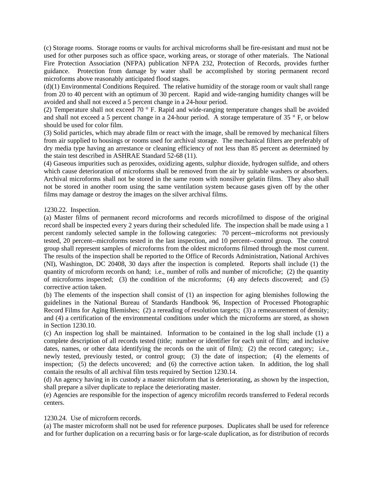(c) Storage rooms. Storage rooms or vaults for archival microforms shall be fire-resistant and must not be used for other purposes such as office space, working areas, or storage of other materials. The National Fire Protection Association (NFPA) publication NFPA 232, Protection of Records, provides further guidance. Protection from damage by water shall be accomplished by storing permanent record microforms above reasonably anticipated flood stages.

(d)(1) Environmental Conditions Required. The relative humidity of the storage room or vault shall range from 20 to 40 percent with an optimum of 30 percent. Rapid and wide-ranging humidity changes will be avoided and shall not exceed a 5 percent change in a 24-hour period.

(2) Temperature shall not exceed 70 ° F. Rapid and wide-ranging temperature changes shall be avoided and shall not exceed a 5 percent change in a 24-hour period. A storage temperature of 35 ° F, or below should be used for color film.

(3) Solid particles, which may abrade film or react with the image, shall be removed by mechanical filters from air supplied to housings or rooms used for archival storage. The mechanical filters are preferably of dry media type having an arrestance or cleaning efficiency of not less than 85 percent as determined by the stain test described in ASHRAE Standard 52-68 (11).

(4) Gaseous impurities such as peroxides, oxidizing agents, sulphur dioxide, hydrogen sulfide, and others which cause deterioration of microforms shall be removed from the air by suitable washers or absorbers. Archival microforms shall not be stored in the same room with nonsilver gelatin films. They also shall not be stored in another room using the same ventilation system because gases given off by the other films may damage or destroy the images on the silver archival films.

## 1230.22. Inspection.

(a) Master films of permanent record microforms and records microfilmed to dispose of the original record shall be inspected every 2 years during their scheduled life. The inspection shall be made using a 1 percent randomly selected sample in the following categories: 70 percent--microforms not previously tested, 20 percent--microforms tested in the last inspection, and 10 percent--control group. The control group shall represent samples of microforms from the oldest microforms filmed through the most current. The results of the inspection shall be reported to the Office of Records Administration, National Archives (NI), Washington, DC 20408, 30 days after the inspection is completed. Reports shall include (1) the quantity of microform records on hand; i.e., number of rolls and number of microfiche; (2) the quantity of microforms inspected; (3) the condition of the microforms; (4) any defects discovered; and (5) corrective action taken.

(b) The elements of the inspection shall consist of (1) an inspection for aging blemishes following the guidelines in the National Bureau of Standards Handbook 96, Inspection of Processed Photographic Record Films for Aging Blemishes; (2) a rereading of resolution targets; (3) a remeasurement of density; and (4) a certification of the environmental conditions under which the microforms are stored, as shown in Section 1230.10.

(c) An inspection log shall be maintained. Information to be contained in the log shall include (1) a complete description of all records tested (title; number or identifier for each unit of film; and inclusive dates, names, or other data identifying the records on the unit of film); (2) the record category; i.e., newly tested, previously tested, or control group; (3) the date of inspection; (4) the elements of inspection; (5) the defects uncovered; and (6) the corrective action taken. In addition, the log shall contain the results of all archival film tests required by Section 1230.14.

(d) An agency having in its custody a master microform that is deteriorating, as shown by the inspection, shall prepare a silver duplicate to replace the deteriorating master.

(e) Agencies are responsible for the inspection of agency microfilm records transferred to Federal records centers.

# 1230.24. Use of microform records.

(a) The master microform shall not be used for reference purposes. Duplicates shall be used for reference and for further duplication on a recurring basis or for large-scale duplication, as for distribution of records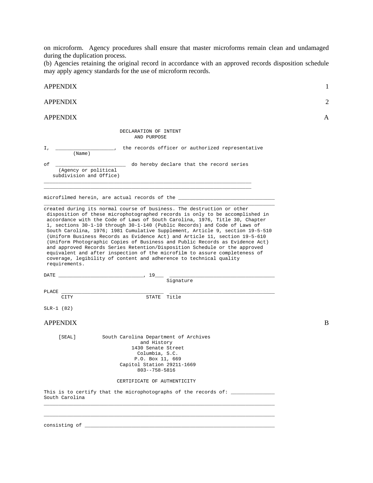on microform. Agency procedures shall ensure that master microforms remain clean and undamaged during the duplication process.

(b) Agencies retaining the original record in accordance with an approved records disposition schedule may apply agency standards for the use of microform records.

| <b>APPENDIX</b>                                                                                                                                                                                                                                                                                                                                                                                                                                                                                                                                                                                                                                                                                                                                                                                                       | 1 |
|-----------------------------------------------------------------------------------------------------------------------------------------------------------------------------------------------------------------------------------------------------------------------------------------------------------------------------------------------------------------------------------------------------------------------------------------------------------------------------------------------------------------------------------------------------------------------------------------------------------------------------------------------------------------------------------------------------------------------------------------------------------------------------------------------------------------------|---|
| <b>APPENDIX</b>                                                                                                                                                                                                                                                                                                                                                                                                                                                                                                                                                                                                                                                                                                                                                                                                       | 2 |
| <b>APPENDIX</b>                                                                                                                                                                                                                                                                                                                                                                                                                                                                                                                                                                                                                                                                                                                                                                                                       | A |
| DECLARATION OF INTENT<br>AND PURPOSE                                                                                                                                                                                                                                                                                                                                                                                                                                                                                                                                                                                                                                                                                                                                                                                  |   |
| $1, \underline{\qquad}$<br>(Name)                                                                                                                                                                                                                                                                                                                                                                                                                                                                                                                                                                                                                                                                                                                                                                                     |   |
| do hereby declare that the record series<br>оf<br>(Agency or political<br>subdivision and Office)                                                                                                                                                                                                                                                                                                                                                                                                                                                                                                                                                                                                                                                                                                                     |   |
| microfilmed herein, are actual records of the __________________________________                                                                                                                                                                                                                                                                                                                                                                                                                                                                                                                                                                                                                                                                                                                                      |   |
| created during its normal course of business. The destruction or other<br>disposition of these microphotographed records is only to be accomplished in<br>accordance with the Code of Laws of South Carolina, 1976, Title 30, Chapter<br>1, sections 30-1-10 through 30-1-140 (Public Records) and Code of Laws of<br>South Carolina, 1976; 1981 Cumulative Supplement, Article 9, section 19-5-510<br>(Uniform Business Records as Evidence Act) and Article 11, section 19-5-610<br>(Uniform Photographic Copies of Business and Public Records as Evidence Act)<br>and approved Records Series Retention/Disposition Schedule or the approved<br>equivalent and after inspection of the microfilm to assure completeness of<br>coverage, legibility of content and adherence to technical quality<br>requirements. |   |
| the control of the control of the control of the control of the control of                                                                                                                                                                                                                                                                                                                                                                                                                                                                                                                                                                                                                                                                                                                                            |   |
| Signature                                                                                                                                                                                                                                                                                                                                                                                                                                                                                                                                                                                                                                                                                                                                                                                                             |   |
| PLACE<br>STATE Title<br>CITY                                                                                                                                                                                                                                                                                                                                                                                                                                                                                                                                                                                                                                                                                                                                                                                          |   |
| $SLR-1$ (82)                                                                                                                                                                                                                                                                                                                                                                                                                                                                                                                                                                                                                                                                                                                                                                                                          |   |
| <b>APPENDIX</b>                                                                                                                                                                                                                                                                                                                                                                                                                                                                                                                                                                                                                                                                                                                                                                                                       | B |
| South Carolina Department of Archives<br>[SEAL]<br>and History<br>1430 Senate Street<br>Columbia, S.C.<br>P.O. Box 11, 669<br>Capitol Station 29211-1669<br>$803 - -758 - 5816$                                                                                                                                                                                                                                                                                                                                                                                                                                                                                                                                                                                                                                       |   |
| CERTIFICATE OF AUTHENTICITY                                                                                                                                                                                                                                                                                                                                                                                                                                                                                                                                                                                                                                                                                                                                                                                           |   |
| This is to certify that the microphotographs of the records of: _______________<br>South Carolina                                                                                                                                                                                                                                                                                                                                                                                                                                                                                                                                                                                                                                                                                                                     |   |
|                                                                                                                                                                                                                                                                                                                                                                                                                                                                                                                                                                                                                                                                                                                                                                                                                       |   |
| $consisting of$ [ $\qquad \qquad$ $\qquad \qquad$ $\qquad$ $\qquad$ $\qquad$ $\qquad$ $\qquad$ $\qquad$ $\qquad$ $\qquad$ $\qquad$ $\qquad$ $\qquad$ $\qquad$ $\qquad$ $\qquad$ $\qquad$ $\qquad$ $\qquad$ $\qquad$ $\qquad$ $\qquad$ $\qquad$ $\qquad$ $\qquad$ $\qquad$ $\qquad$ $\qquad$ $\qquad$ $\qquad$ $\qquad$ $\qquad$ $\qquad$ $\qquad$ $\q$                                                                                                                                                                                                                                                                                                                                                                                                                                                                |   |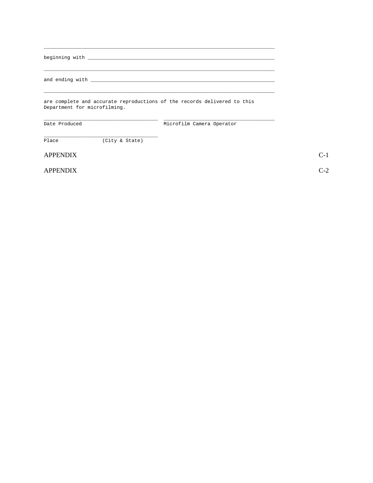|               | Department for microfilming. | are complete and accurate reproductions of the records delivered to this |  |
|---------------|------------------------------|--------------------------------------------------------------------------|--|
| Date Produced |                              | Microfilm Camera Operator                                                |  |
| Place         | (City & State)               |                                                                          |  |

**APPENDIX** 

**APPENDIX** 

 $C-1$  $C-2$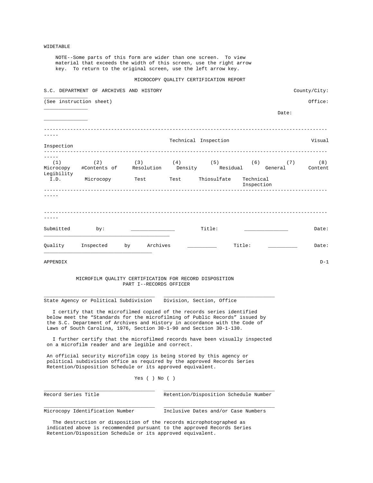#### WIDETABLE

 NOTE--Some parts of this form are wider than one screen. To view material that exceeds the width of this screen, use the right arrow key. To return to the original screen, use the left arrow key.

#### MICROCOPY QUALITY CERTIFICATION REPORT

|            | S.C. DEPARTMENT OF ARCHIVES AND HISTORY                                                                                                               |                         |                      |            |       | County/City: |
|------------|-------------------------------------------------------------------------------------------------------------------------------------------------------|-------------------------|----------------------|------------|-------|--------------|
|            | (See instruction sheet)                                                                                                                               |                         |                      |            |       | Office:      |
|            |                                                                                                                                                       |                         |                      |            | Date: |              |
|            |                                                                                                                                                       |                         | Technical Inspection |            |       | Visual       |
| Inspection |                                                                                                                                                       |                         |                      |            |       |              |
|            | (1) $(2)$ (3) $(4)$ (5) $(6)$ (7) $(8)$<br>Microcopy #Contents of Resolution Density Residual General Content                                         |                         |                      |            |       |              |
| Legibility | I.D. Microcopy Test Test Thiosulfate Technical                                                                                                        |                         |                      | Inspection |       |              |
|            |                                                                                                                                                       |                         |                      |            |       |              |
|            |                                                                                                                                                       |                         |                      |            |       |              |
|            |                                                                                                                                                       |                         |                      |            |       |              |
|            | Submitted by:                                                                                                                                         |                         | Title:               |            |       | Date:        |
|            | Quality Inspected by Archives                                                                                                                         |                         |                      | Title:     |       | Date:        |
| APPENDIX   |                                                                                                                                                       |                         |                      |            |       | $D-1$        |
|            | MICROFILM QUALITY CERTIFICATION FOR RECORD DISPOSITION                                                                                                |                         |                      |            |       |              |
|            |                                                                                                                                                       | PART I--RECORDS OFFICER |                      |            |       |              |
|            | State Agency or Political Subdivision Division, Section, Office                                                                                       |                         |                      |            |       |              |
|            | I certify that the microfilmed copied of the records series identified<br>below meet the "Standards for the microfilming of Public Records" issued by |                         |                      |            |       |              |

 the S.C. Department of Archives and History in accordance with the Code of Laws of South Carolina, 1976, Section 30-1-90 and Section 30-1-130.

 I further certify that the microfilmed records have been visually inspected on a microfilm reader and are legible and correct.

 An official security microfilm copy is being stored by this agency or political subdivision office as required by the approved Records Series Retention/Disposition Schedule or its approved equivalent.

#### Yes ( ) No ( )

\_\_\_\_\_\_\_\_\_\_\_\_\_\_\_\_\_\_\_\_\_\_\_\_\_\_\_\_\_\_\_\_\_\_\_\_\_\_ \_\_\_\_\_\_\_\_\_\_\_\_\_\_\_\_\_\_\_\_\_\_\_\_\_\_\_\_\_\_\_\_\_\_\_\_\_\_ Record Series Title Retention/Disposition Schedule Number

\_\_\_\_\_\_\_\_\_\_\_\_\_\_\_\_\_\_\_\_\_\_\_\_\_\_\_\_\_\_\_\_\_\_\_\_\_\_ \_\_\_\_\_\_\_\_\_\_\_\_\_\_\_\_\_\_\_\_\_\_\_\_\_\_\_\_\_\_\_\_\_\_\_\_\_\_ Microcopy Identification Number Inclusive Dates and/or Case Numbers

 The destruction or disposition of the records microphotographed as indicated above is recommended pursuant to the approved Records Series Retention/Disposition Schedule or its approved equivalent.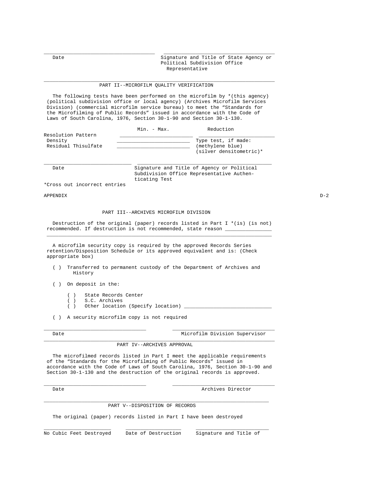Date  $\qquad \qquad$  Date  $\qquad \qquad$  Signature and Title of State Agency or Political Subdivision Office Representative

#### \_\_\_\_\_\_\_\_\_\_\_\_\_\_\_\_\_\_\_\_\_\_\_\_\_\_\_\_\_\_\_\_\_\_\_\_\_\_\_\_\_\_\_\_\_\_\_\_\_\_\_\_\_\_\_\_\_\_\_\_\_\_\_\_\_\_\_\_\_\_\_\_\_\_\_\_\_\_\_ PART II--MICROFILM QUALITY VERIFICATION

\_\_\_\_\_\_\_\_\_\_\_\_\_\_\_\_\_\_\_\_\_\_\_\_\_\_\_\_\_\_\_\_\_\_\_\_\_\_ \_\_\_\_\_\_\_\_\_\_\_\_\_\_\_\_\_\_\_\_\_\_\_\_\_\_\_\_\_\_\_\_\_\_\_\_\_\_

 The following tests have been performed on the microfilm by \*(this agency) (political subdivision office or local agency) (Archives Microfilm Services Division) (commercial microfilm service bureau) to meet the "Standards for the Microfilming of Public Records" issued in accordance with the Code of Laws of South Carolina, 1976, Section 30-1-90 and Section 30-1-130.

|                     | Min. - Max. | Reduction               |
|---------------------|-------------|-------------------------|
| Resolution Pattern  |             |                         |
| Density             |             | Type test, if made:     |
| Residual Thisulfate |             | (methylene blue)        |
|                     |             | (silver densitometric)* |

\_\_\_\_\_\_\_\_\_\_\_\_\_\_\_\_\_\_\_\_\_\_\_\_\_\_\_\_\_\_ \_\_\_\_\_\_\_\_\_\_\_\_\_\_\_\_\_\_\_\_\_\_\_\_\_\_\_\_\_\_\_\_\_\_\_\_\_\_\_\_\_\_\_\_\_\_

Date Signature and Title of Agency or Political Subdivision Office Representative Authen ticating Test

\*Cross out incorrect entries

APPENDIX D-2

#### PART III--ARCHIVES MICROFILM DIVISION

 Destruction of the original (paper) records listed in Part I \*(is) (is not) recommended. If destruction is not recommended, state reason \_\_\_\_\_\_\_\_\_\_\_\_\_\_\_\_\_\_\_ \_\_\_\_\_\_\_\_\_\_\_\_\_\_\_\_\_\_\_\_\_\_\_\_\_\_\_\_\_\_\_\_\_\_\_\_\_\_\_\_\_\_\_\_\_\_\_\_\_\_\_\_\_\_\_\_\_\_\_\_\_\_\_\_\_\_\_\_\_\_\_\_\_\_\_\_\_

 A microfilm security copy is required by the approved Records Series retention/Disposition Schedule or its approved equivalent and is: (Check appropriate box)

- ( ) Transferred to permanent custody of the Department of Archives and History
- ( ) On deposit in the:
	- ( ) State Records Center
	- ( ) S.C. Archives
	- ( ) Other location (Specify location) \_

( ) A security microfilm copy is not required

Date **Date** Microfilm Division Supervisor

#### \_\_\_\_\_\_\_\_\_\_\_\_\_\_\_\_\_\_\_\_\_\_\_\_\_\_\_\_\_\_\_\_\_\_\_\_\_\_\_\_\_\_\_\_\_\_\_\_\_\_\_\_\_\_\_\_\_\_\_\_\_\_\_\_\_\_\_\_\_\_\_\_\_\_\_\_\_\_\_ PART IV--ARCHIVES APPROVAL

\_\_\_\_\_\_\_\_\_\_\_\_\_\_\_\_\_\_\_\_\_\_\_\_\_\_\_\_\_\_\_\_\_\_\_ \_\_\_\_\_\_\_\_\_\_\_\_\_\_\_\_\_\_\_\_\_\_\_\_\_\_\_\_\_\_\_\_\_\_\_

 The microfilmed records listed in Part I meet the applicable requirements of the "Standards for the Microfilming of Public Records" issued in accordance with the Code of Laws of South Carolina, 1976, Section 30-1-90 and Section 30-1-130 and the destruction of the original records is approved.

\_\_\_\_\_\_\_\_\_\_\_\_\_\_\_\_\_\_\_\_\_\_\_\_\_\_\_\_\_\_\_\_\_\_\_ \_\_\_\_\_\_\_\_\_\_\_\_\_\_\_\_\_\_\_\_\_\_\_\_\_\_\_\_\_\_\_\_\_\_\_

\_\_\_\_\_\_\_\_\_\_\_\_\_\_\_\_\_\_\_\_\_\_\_\_\_\_\_\_\_\_\_\_\_\_\_\_\_\_\_\_\_\_\_\_\_\_\_\_\_\_\_\_\_\_\_\_\_\_\_\_\_\_\_\_\_\_\_\_\_\_\_\_\_\_\_\_\_

Date Archives Director

#### PART V--DISPOSITION OF RECORDS

The original (paper) records listed in Part I have been destroyed

\_\_\_\_\_\_\_\_\_\_\_\_\_\_\_\_\_\_\_\_\_\_\_ \_\_\_\_\_\_\_\_\_\_\_\_\_\_\_\_\_\_\_ \_\_\_\_\_\_\_\_\_\_\_\_\_\_\_\_\_\_\_\_\_\_\_\_\_

No Cubic Feet Destroyed Date of Destruction Signature and Title of